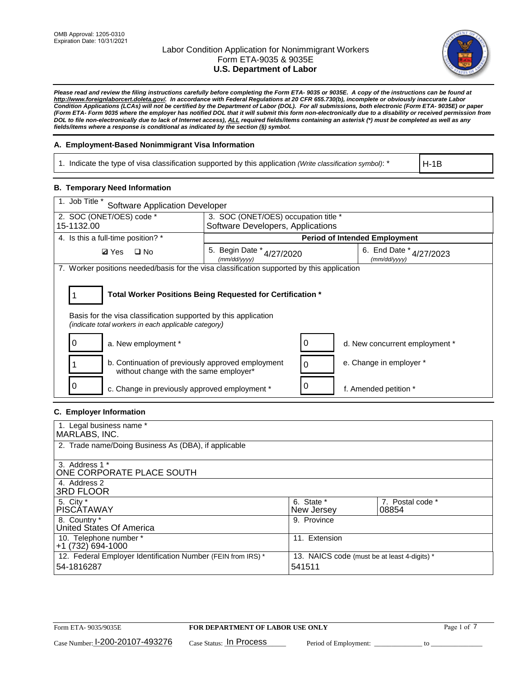

*Please read and review the filing instructions carefully before completing the Form ETA- 9035 or 9035E. A copy of the instructions can be found at [http://www.foreignlaborcert.doleta.gov/.](http://www.foreignlaborcert.doleta.gov/) In accordance with Federal Regulations at 20 CFR 655.730(b), incomplete or obviously inaccurate Labor Condition Applications (LCAs) will not be certified by the Department of Labor (DOL). For all submissions, both electronic (Form ETA- 9035E) or paper (Form ETA- Form 9035 where the employer has notified DOL that it will submit this form non-electronically due to a disability or received permission from DOL to file non-electronically due to lack of Internet access), ALL required fields/items containing an asterisk (\*) must be completed as well as any fields/items where a response is conditional as indicated by the section (§) symbol.* 

# **A. Employment-Based Nonimmigrant Visa Information**

1. Indicate the type of visa classification supported by this application *(Write classification symbol)*: \*

H-1B

### **B. Temporary Need Information**

| 1. Job Title *<br><b>Software Application Developer</b>                                                                                                                               |                                               |                                             |                                      |  |  |
|---------------------------------------------------------------------------------------------------------------------------------------------------------------------------------------|-----------------------------------------------|---------------------------------------------|--------------------------------------|--|--|
| 2. SOC (ONET/OES) code *                                                                                                                                                              | 3. SOC (ONET/OES) occupation title *          |                                             |                                      |  |  |
| 15-1132.00                                                                                                                                                                            | Software Developers, Applications             |                                             |                                      |  |  |
| 4. Is this a full-time position? *                                                                                                                                                    |                                               |                                             | <b>Period of Intended Employment</b> |  |  |
| <b>Ø</b> Yes<br>$\square$ No                                                                                                                                                          | 5. Begin Date $*_{4/27/2020}$<br>(mm/dd/vvvv) | 6. End Date $*_{4/27/2023}$<br>(mm/dd/vvvv) |                                      |  |  |
| 7. Worker positions needed/basis for the visa classification supported by this application                                                                                            |                                               |                                             |                                      |  |  |
| Total Worker Positions Being Requested for Certification *<br>Basis for the visa classification supported by this application<br>(indicate total workers in each applicable category) |                                               |                                             |                                      |  |  |
| a. New employment *                                                                                                                                                                   |                                               |                                             | d. New concurrent employment *       |  |  |
| b. Continuation of previously approved employment<br>without change with the same employer*                                                                                           |                                               | 0                                           | e. Change in employer *              |  |  |
| c. Change in previously approved employment *                                                                                                                                         |                                               |                                             | f. Amended petition *                |  |  |

## **C. Employer Information**

| 1. Legal business name *                                                                                     |               |                  |  |
|--------------------------------------------------------------------------------------------------------------|---------------|------------------|--|
| MARLABS, INC.                                                                                                |               |                  |  |
| 2. Trade name/Doing Business As (DBA), if applicable                                                         |               |                  |  |
|                                                                                                              |               |                  |  |
| 3. Address 1 *                                                                                               |               |                  |  |
| ONE CORPORATE PLACE SOUTH                                                                                    |               |                  |  |
| 4. Address 2                                                                                                 |               |                  |  |
| <b>3RD FLOOR</b>                                                                                             |               |                  |  |
| 5. City *                                                                                                    | 6. State *    | 7. Postal code * |  |
| PISCÁTAWAY                                                                                                   | New Jersey    | 08854            |  |
| 8. Country *                                                                                                 | 9. Province   |                  |  |
| United States Of America                                                                                     |               |                  |  |
| 10. Telephone number *                                                                                       | 11. Extension |                  |  |
| +1 (732) 694-1000                                                                                            |               |                  |  |
| 12. Federal Employer Identification Number (FEIN from IRS) *<br>13. NAICS code (must be at least 4-digits) * |               |                  |  |
| 54-1816287                                                                                                   | 541511        |                  |  |
|                                                                                                              |               |                  |  |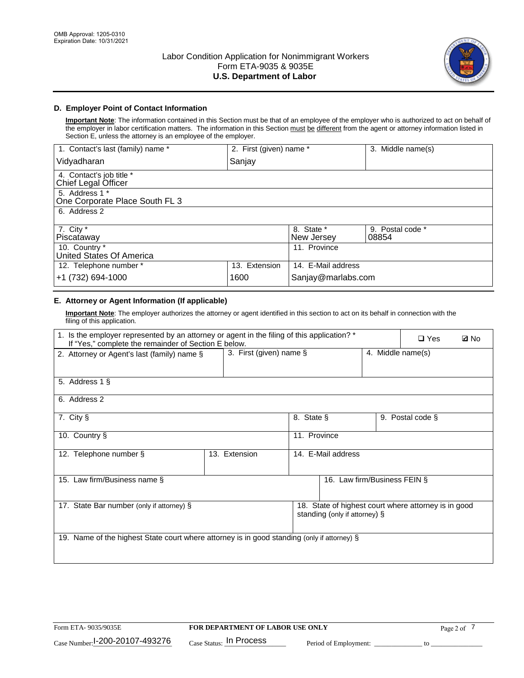

## **D. Employer Point of Contact Information**

**Important Note**: The information contained in this Section must be that of an employee of the employer who is authorized to act on behalf of the employer in labor certification matters. The information in this Section must be different from the agent or attorney information listed in Section E, unless the attorney is an employee of the employer.

| 1. Contact's last (family) name *                | 2. First (given) name * |                          | 3. Middle name(s)         |
|--------------------------------------------------|-------------------------|--------------------------|---------------------------|
| Vidyadharan                                      | Sanjay                  |                          |                           |
| 4. Contact's job title *<br>Chief Legal Officer  |                         |                          |                           |
| 5. Address 1 *<br>One Corporate Place South FL 3 |                         |                          |                           |
| 6. Address 2                                     |                         |                          |                           |
| 7. City $*$<br>Piscataway                        |                         | 8. State *<br>New Jersey | 9. Postal code *<br>08854 |
| 10. Country *<br>United States Of America        |                         | 11. Province             |                           |
| 12. Telephone number *                           | 13. Extension           | 14. E-Mail address       |                           |
| +1 (732) 694-1000                                | 1600                    | Sanjay@marlabs.com       |                           |

## **E. Attorney or Agent Information (If applicable)**

**Important Note**: The employer authorizes the attorney or agent identified in this section to act on its behalf in connection with the filing of this application.

| 1. Is the employer represented by an attorney or agent in the filing of this application? *<br>If "Yes," complete the remainder of Section E below. |                         |              |                               |                   | $\square$ Yes                                        | <b>ØNo</b> |
|-----------------------------------------------------------------------------------------------------------------------------------------------------|-------------------------|--------------|-------------------------------|-------------------|------------------------------------------------------|------------|
| 2. Attorney or Agent's last (family) name §                                                                                                         | 3. First (given) name § |              |                               | 4. Middle name(s) |                                                      |            |
| 5. Address 1 §                                                                                                                                      |                         |              |                               |                   |                                                      |            |
| 6. Address 2                                                                                                                                        |                         |              |                               |                   |                                                      |            |
| 7. City §                                                                                                                                           |                         | 8. State §   |                               |                   | 9. Postal code §                                     |            |
| 10. Country §                                                                                                                                       |                         | 11. Province |                               |                   |                                                      |            |
| 12. Telephone number §                                                                                                                              | 13. Extension           |              | 14. E-Mail address            |                   |                                                      |            |
| 15. Law firm/Business name §                                                                                                                        |                         |              | 16. Law firm/Business FEIN §  |                   |                                                      |            |
| 17. State Bar number (only if attorney) §                                                                                                           |                         |              | standing (only if attorney) § |                   | 18. State of highest court where attorney is in good |            |
| 19. Name of the highest State court where attorney is in good standing (only if attorney) §                                                         |                         |              |                               |                   |                                                      |            |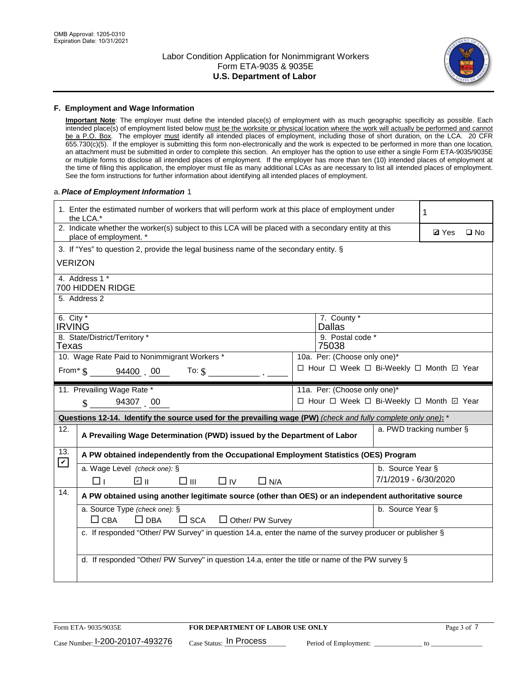

### **F. Employment and Wage Information**

**Important Note**: The employer must define the intended place(s) of employment with as much geographic specificity as possible. Each intended place(s) of employment listed below must be the worksite or physical location where the work will actually be performed and cannot be a P.O. Box. The employer must identify all intended places of employment, including those of short duration, on the LCA. 20 CFR 655.730(c)(5). If the employer is submitting this form non-electronically and the work is expected to be performed in more than one location, an attachment must be submitted in order to complete this section. An employer has the option to use either a single Form ETA-9035/9035E or multiple forms to disclose all intended places of employment. If the employer has more than ten (10) intended places of employment at the time of filing this application, the employer must file as many additional LCAs as are necessary to list all intended places of employment. See the form instructions for further information about identifying all intended places of employment.

### a.*Place of Employment Information* 1

| 1. Enter the estimated number of workers that will perform work at this place of employment under<br>the LCA.* |                                                                                                                                |  |                                          |                          | 1 |  |
|----------------------------------------------------------------------------------------------------------------|--------------------------------------------------------------------------------------------------------------------------------|--|------------------------------------------|--------------------------|---|--|
|                                                                                                                | 2. Indicate whether the worker(s) subject to this LCA will be placed with a secondary entity at this<br>place of employment. * |  | <b>Ø</b> Yes                             | $\square$ No             |   |  |
|                                                                                                                | 3. If "Yes" to question 2, provide the legal business name of the secondary entity. §                                          |  |                                          |                          |   |  |
| <b>VERIZON</b>                                                                                                 |                                                                                                                                |  |                                          |                          |   |  |
|                                                                                                                | 4. Address 1 *<br>700 HIDDEN RIDGE                                                                                             |  |                                          |                          |   |  |
|                                                                                                                | 5. Address 2                                                                                                                   |  |                                          |                          |   |  |
| 6. City $*$<br><b>IRVING</b>                                                                                   |                                                                                                                                |  | 7. County *<br><b>Dallas</b>             |                          |   |  |
|                                                                                                                | 8. State/District/Territory *                                                                                                  |  | 9. Postal code *                         |                          |   |  |
| Texas                                                                                                          |                                                                                                                                |  | 75038                                    |                          |   |  |
|                                                                                                                | 10. Wage Rate Paid to Nonimmigrant Workers *                                                                                   |  | 10a. Per: (Choose only one)*             |                          |   |  |
|                                                                                                                | From $\text{\$}$ 94400 00 To: $\text{\$}$                                                                                      |  | □ Hour □ Week □ Bi-Weekly □ Month □ Year |                          |   |  |
|                                                                                                                | 11. Prevailing Wage Rate *                                                                                                     |  | 11a. Per: (Choose only one)*             |                          |   |  |
|                                                                                                                | $\sin 94307$ 00                                                                                                                |  | □ Hour □ Week □ Bi-Weekly □ Month ☑ Year |                          |   |  |
|                                                                                                                | Questions 12-14. Identify the source used for the prevailing wage (PW) (check and fully complete only one): *                  |  |                                          |                          |   |  |
| 12.                                                                                                            | A Prevailing Wage Determination (PWD) issued by the Department of Labor                                                        |  |                                          | a. PWD tracking number § |   |  |
| 13.<br>$\blacktriangleright$                                                                                   | A PW obtained independently from the Occupational Employment Statistics (OES) Program                                          |  |                                          |                          |   |  |
|                                                                                                                | a. Wage Level (check one): §                                                                                                   |  |                                          | b. Source Year §         |   |  |
|                                                                                                                | ☑ ⊪<br>$\square$ $\square$<br>$\Box$ IV<br>$\Box$ N/A<br>l 11                                                                  |  |                                          | 7/1/2019 - 6/30/2020     |   |  |
| 14.                                                                                                            | A PW obtained using another legitimate source (other than OES) or an independent authoritative source                          |  |                                          |                          |   |  |
|                                                                                                                | a. Source Type (check one): §<br>b. Source Year §                                                                              |  |                                          |                          |   |  |
|                                                                                                                | $\Box$ CBA<br>$\Box$ DBA<br>$\square$ SCA<br>$\Box$ Other/ PW Survey                                                           |  |                                          |                          |   |  |
|                                                                                                                | c. If responded "Other/ PW Survey" in question 14.a, enter the name of the survey producer or publisher §                      |  |                                          |                          |   |  |
|                                                                                                                |                                                                                                                                |  |                                          |                          |   |  |
|                                                                                                                | d. If responded "Other/ PW Survey" in question 14.a, enter the title or name of the PW survey §                                |  |                                          |                          |   |  |
|                                                                                                                |                                                                                                                                |  |                                          |                          |   |  |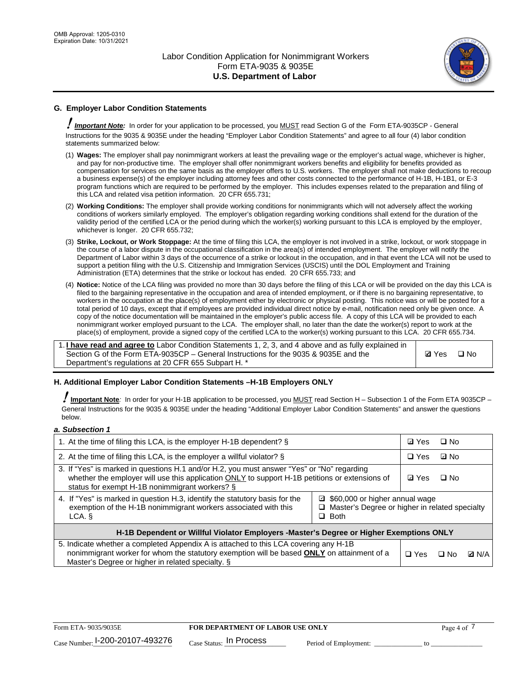

## **G. Employer Labor Condition Statements**

! *Important Note:* In order for your application to be processed, you MUST read Section G of the Form ETA-9035CP - General Instructions for the 9035 & 9035E under the heading "Employer Labor Condition Statements" and agree to all four (4) labor condition statements summarized below:

- (1) **Wages:** The employer shall pay nonimmigrant workers at least the prevailing wage or the employer's actual wage, whichever is higher, and pay for non-productive time. The employer shall offer nonimmigrant workers benefits and eligibility for benefits provided as compensation for services on the same basis as the employer offers to U.S. workers. The employer shall not make deductions to recoup a business expense(s) of the employer including attorney fees and other costs connected to the performance of H-1B, H-1B1, or E-3 program functions which are required to be performed by the employer. This includes expenses related to the preparation and filing of this LCA and related visa petition information. 20 CFR 655.731;
- (2) **Working Conditions:** The employer shall provide working conditions for nonimmigrants which will not adversely affect the working conditions of workers similarly employed. The employer's obligation regarding working conditions shall extend for the duration of the validity period of the certified LCA or the period during which the worker(s) working pursuant to this LCA is employed by the employer, whichever is longer. 20 CFR 655.732;
- (3) **Strike, Lockout, or Work Stoppage:** At the time of filing this LCA, the employer is not involved in a strike, lockout, or work stoppage in the course of a labor dispute in the occupational classification in the area(s) of intended employment. The employer will notify the Department of Labor within 3 days of the occurrence of a strike or lockout in the occupation, and in that event the LCA will not be used to support a petition filing with the U.S. Citizenship and Immigration Services (USCIS) until the DOL Employment and Training Administration (ETA) determines that the strike or lockout has ended. 20 CFR 655.733; and
- (4) **Notice:** Notice of the LCA filing was provided no more than 30 days before the filing of this LCA or will be provided on the day this LCA is filed to the bargaining representative in the occupation and area of intended employment, or if there is no bargaining representative, to workers in the occupation at the place(s) of employment either by electronic or physical posting. This notice was or will be posted for a total period of 10 days, except that if employees are provided individual direct notice by e-mail, notification need only be given once. A copy of the notice documentation will be maintained in the employer's public access file. A copy of this LCA will be provided to each nonimmigrant worker employed pursuant to the LCA. The employer shall, no later than the date the worker(s) report to work at the place(s) of employment, provide a signed copy of the certified LCA to the worker(s) working pursuant to this LCA. 20 CFR 655.734.

1. **I have read and agree to** Labor Condition Statements 1, 2, 3, and 4 above and as fully explained in Section G of the Form ETA-9035CP – General Instructions for the 9035 & 9035E and the Department's regulations at 20 CFR 655 Subpart H. \*

**Ø**Yes ロNo

### **H. Additional Employer Labor Condition Statements –H-1B Employers ONLY**

!**Important Note***:* In order for your H-1B application to be processed, you MUST read Section H – Subsection 1 of the Form ETA 9035CP – General Instructions for the 9035 & 9035E under the heading "Additional Employer Labor Condition Statements" and answer the questions below.

#### *a. Subsection 1*

| 1. At the time of filing this LCA, is the employer H-1B dependent? §                                                                                                                                                                                            |  |  | $\square$ No |              |
|-----------------------------------------------------------------------------------------------------------------------------------------------------------------------------------------------------------------------------------------------------------------|--|--|--------------|--------------|
| 2. At the time of filing this LCA, is the employer a willful violator? $\S$                                                                                                                                                                                     |  |  | ⊡ No         |              |
| 3. If "Yes" is marked in questions H.1 and/or H.2, you must answer "Yes" or "No" regarding<br>whether the employer will use this application ONLY to support H-1B petitions or extensions of<br>status for exempt H-1B nonimmigrant workers? §                  |  |  | $\Box$ No    |              |
| 4. If "Yes" is marked in question H.3, identify the statutory basis for the<br>■ \$60,000 or higher annual wage<br>exemption of the H-1B nonimmigrant workers associated with this<br>□ Master's Degree or higher in related specialty<br>$\Box$ Both<br>LCA. § |  |  |              |              |
| H-1B Dependent or Willful Violator Employers -Master's Degree or Higher Exemptions ONLY                                                                                                                                                                         |  |  |              |              |
| 5. Indicate whether a completed Appendix A is attached to this LCA covering any H-1B<br>nonimmigrant worker for whom the statutory exemption will be based <b>ONLY</b> on attainment of a<br>Master's Degree or higher in related specialty. §                  |  |  | ⊡ No         | <b>Q</b> N/A |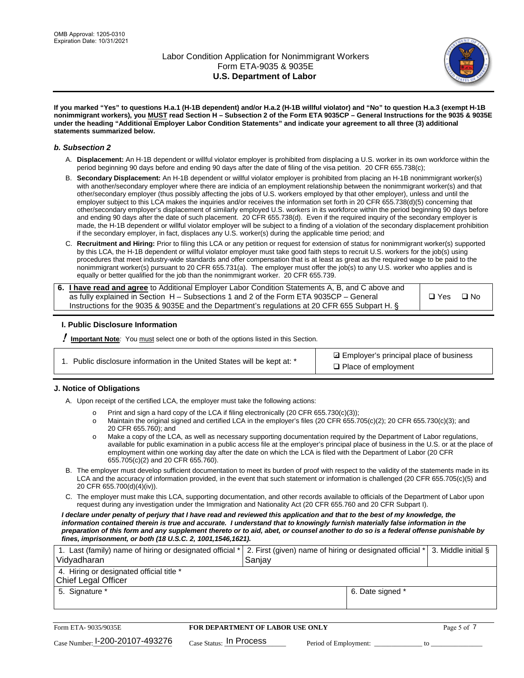

**If you marked "Yes" to questions H.a.1 (H-1B dependent) and/or H.a.2 (H-1B willful violator) and "No" to question H.a.3 (exempt H-1B nonimmigrant workers), you MUST read Section H – Subsection 2 of the Form ETA 9035CP – General Instructions for the 9035 & 9035E under the heading "Additional Employer Labor Condition Statements" and indicate your agreement to all three (3) additional statements summarized below.**

#### *b. Subsection 2*

- A. **Displacement:** An H-1B dependent or willful violator employer is prohibited from displacing a U.S. worker in its own workforce within the period beginning 90 days before and ending 90 days after the date of filing of the visa petition. 20 CFR 655.738(c);
- B. **Secondary Displacement:** An H-1B dependent or willful violator employer is prohibited from placing an H-1B nonimmigrant worker(s) with another/secondary employer where there are indicia of an employment relationship between the nonimmigrant worker(s) and that other/secondary employer (thus possibly affecting the jobs of U.S. workers employed by that other employer), unless and until the employer subject to this LCA makes the inquiries and/or receives the information set forth in 20 CFR 655.738(d)(5) concerning that other/secondary employer's displacement of similarly employed U.S. workers in its workforce within the period beginning 90 days before and ending 90 days after the date of such placement. 20 CFR 655.738(d). Even if the required inquiry of the secondary employer is made, the H-1B dependent or willful violator employer will be subject to a finding of a violation of the secondary displacement prohibition if the secondary employer, in fact, displaces any U.S. worker(s) during the applicable time period; and
- C. **Recruitment and Hiring:** Prior to filing this LCA or any petition or request for extension of status for nonimmigrant worker(s) supported by this LCA, the H-1B dependent or willful violator employer must take good faith steps to recruit U.S. workers for the job(s) using procedures that meet industry-wide standards and offer compensation that is at least as great as the required wage to be paid to the nonimmigrant worker(s) pursuant to 20 CFR 655.731(a). The employer must offer the job(s) to any U.S. worker who applies and is equally or better qualified for the job than the nonimmigrant worker. 20 CFR 655.739.

| 6. I have read and agree to Additional Employer Labor Condition Statements A, B, and C above and |       |           |
|--------------------------------------------------------------------------------------------------|-------|-----------|
| as fully explained in Section H – Subsections 1 and 2 of the Form ETA 9035CP – General           | □ Yes | $\Box$ No |
| Instructions for the 9035 & 9035E and the Department's regulations at 20 CFR 655 Subpart H. §    |       |           |

### **I. Public Disclosure Information**

! **Important Note***:* You must select one or both of the options listed in this Section.

**sqrt** Employer's principal place of business □ Place of employment

### **J. Notice of Obligations**

A. Upon receipt of the certified LCA, the employer must take the following actions:

- o Print and sign a hard copy of the LCA if filing electronically (20 CFR 655.730(c)(3));<br>
Maintain the original signed and certified LCA in the employer's files (20 CFR 655.7
- Maintain the original signed and certified LCA in the employer's files (20 CFR 655.705(c)(2); 20 CFR 655.730(c)(3); and 20 CFR 655.760); and
- o Make a copy of the LCA, as well as necessary supporting documentation required by the Department of Labor regulations, available for public examination in a public access file at the employer's principal place of business in the U.S. or at the place of employment within one working day after the date on which the LCA is filed with the Department of Labor (20 CFR 655.705(c)(2) and 20 CFR 655.760).
- B. The employer must develop sufficient documentation to meet its burden of proof with respect to the validity of the statements made in its LCA and the accuracy of information provided, in the event that such statement or information is challenged (20 CFR 655.705(c)(5) and 20 CFR 655.700(d)(4)(iv)).
- C. The employer must make this LCA, supporting documentation, and other records available to officials of the Department of Labor upon request during any investigation under the Immigration and Nationality Act (20 CFR 655.760 and 20 CFR Subpart I).

*I declare under penalty of perjury that I have read and reviewed this application and that to the best of my knowledge, the*  information contained therein is true and accurate. I understand that to knowingly furnish materially false information in the *preparation of this form and any supplement thereto or to aid, abet, or counsel another to do so is a federal offense punishable by fines, imprisonment, or both (18 U.S.C. 2, 1001,1546,1621).*

| 1. Last (family) name of hiring or designated official *   2. First (given) name of hiring or designated official *   3. Middle initial §<br>Vidyadharan | Saniav           |  |
|----------------------------------------------------------------------------------------------------------------------------------------------------------|------------------|--|
| 4. Hiring or designated official title *<br>Chief Legal Officer                                                                                          |                  |  |
| 5. Signature *                                                                                                                                           | 6. Date signed * |  |

| Form ETA-9035/9035E                         | FOR DEPARTMENT OF LABOR USE ONLY   |                       |  |
|---------------------------------------------|------------------------------------|-----------------------|--|
| $_{\text{Case Number:}}$ I-200-20107-493276 | $_{\rm Case~S status:}$ In Process | Period of Employment: |  |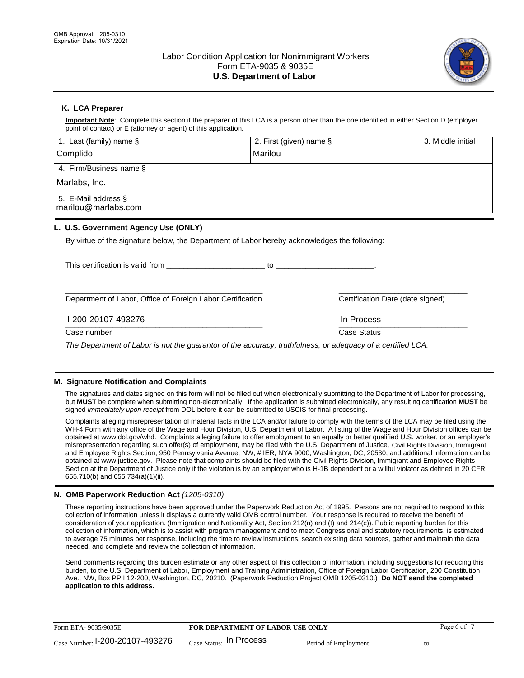

## **K. LCA Preparer**

**Important Note**: Complete this section if the preparer of this LCA is a person other than the one identified in either Section D (employer point of contact) or E (attorney or agent) of this application.

| 1. Last (family) name $\S$                                                                   | 2. First (given) name §          | 3. Middle initial |
|----------------------------------------------------------------------------------------------|----------------------------------|-------------------|
| Complido                                                                                     | Marilou                          |                   |
| 4. Firm/Business name §                                                                      |                                  |                   |
| Marlabs, Inc.                                                                                |                                  |                   |
| 5. E-Mail address §<br>marilou@marlabs.com                                                   |                                  |                   |
| L. U.S. Government Agency Use (ONLY)                                                         |                                  |                   |
| By virtue of the signature below, the Department of Labor hereby acknowledges the following: |                                  |                   |
| This certification is valid from This certification is valid from                            |                                  |                   |
|                                                                                              |                                  |                   |
| Department of Labor, Office of Foreign Labor Certification                                   | Certification Date (date signed) |                   |

 $\frac{1111100688}{1111100688}$ I-200-20107-493276 In Process

Case number **Case Status** Case Status **Case Status** 

*The Department of Labor is not the guarantor of the accuracy, truthfulness, or adequacy of a certified LCA.*

### **M. Signature Notification and Complaints**

The signatures and dates signed on this form will not be filled out when electronically submitting to the Department of Labor for processing, but **MUST** be complete when submitting non-electronically. If the application is submitted electronically, any resulting certification **MUST** be signed *immediately upon receipt* from DOL before it can be submitted to USCIS for final processing.

Complaints alleging misrepresentation of material facts in the LCA and/or failure to comply with the terms of the LCA may be filed using the WH-4 Form with any office of the Wage and Hour Division, U.S. Department of Labor. A listing of the Wage and Hour Division offices can be obtained at www.dol.gov/whd. Complaints alleging failure to offer employment to an equally or better qualified U.S. worker, or an employer's misrepresentation regarding such offer(s) of employment, may be filed with the U.S. Department of Justice, Civil Rights Division, Immigrant and Employee Rights Section, 950 Pennsylvania Avenue, NW, # IER, NYA 9000, Washington, DC, 20530, and additional information can be obtained at www.justice.gov. Please note that complaints should be filed with the Civil Rights Division, Immigrant and Employee Rights Section at the Department of Justice only if the violation is by an employer who is H-1B dependent or a willful violator as defined in 20 CFR 655.710(b) and 655.734(a)(1)(ii).

### **N. OMB Paperwork Reduction Act** *(1205-0310)*

These reporting instructions have been approved under the Paperwork Reduction Act of 1995. Persons are not required to respond to this collection of information unless it displays a currently valid OMB control number. Your response is required to receive the benefit of consideration of your application. (Immigration and Nationality Act, Section 212(n) and (t) and 214(c)). Public reporting burden for this collection of information, which is to assist with program management and to meet Congressional and statutory requirements, is estimated to average 75 minutes per response, including the time to review instructions, search existing data sources, gather and maintain the data needed, and complete and review the collection of information.

Send comments regarding this burden estimate or any other aspect of this collection of information, including suggestions for reducing this burden, to the U.S. Department of Labor, Employment and Training Administration, Office of Foreign Labor Certification, 200 Constitution Ave., NW, Box PPII 12-200, Washington, DC, 20210. (Paperwork Reduction Project OMB 1205-0310.) **Do NOT send the completed application to this address.**

| Form ETA-9035/9035E                         | <b>FOR DEPARTMENT OF LABOR USE ONLY</b> | Page 6 of             |  |
|---------------------------------------------|-----------------------------------------|-----------------------|--|
| $_{\text{Case Number:}}$ I-200-20107-493276 | $_{\text{Case Status:}}$ In Process     | Period of Employment: |  |